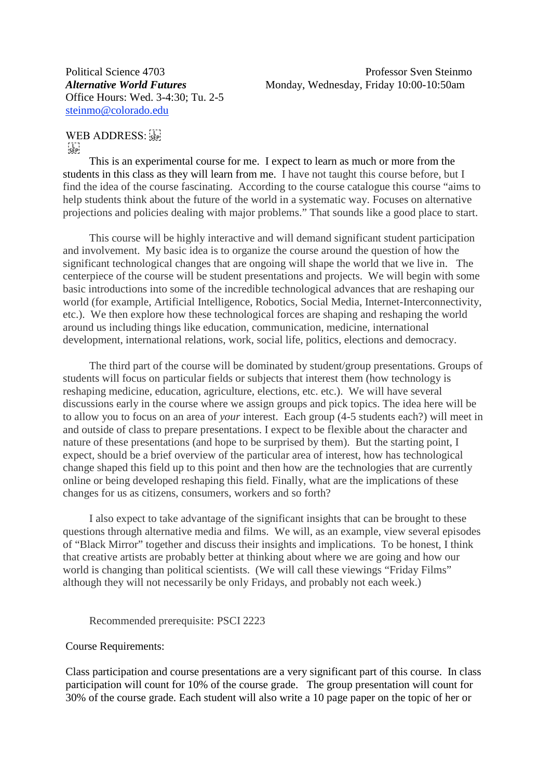Office Hours: Wed. 3-4:30; Tu. 2-5 [steinmo@colorado.edu](http://sobek.colorado.edu/%7Esteinmo/steinmo@colorado.edu)

WEB ADDRESS:  $\frac{1}{2}$ 

This is an experimental course for me. I expect to learn as much or more from the students in this class as they will learn from me. I have not taught this course before, but I find the idea of the course fascinating. According to the course catalogue this course "aims to help students think about the future of the world in a systematic way. Focuses on alternative projections and policies dealing with major problems." That sounds like a good place to start.

This course will be highly interactive and will demand significant student participation and involvement. My basic idea is to organize the course around the question of how the significant technological changes that are ongoing will shape the world that we live in. The centerpiece of the course will be student presentations and projects. We will begin with some basic introductions into some of the incredible technological advances that are reshaping our world (for example, Artificial Intelligence, Robotics, Social Media, Internet-Interconnectivity, etc.). We then explore how these technological forces are shaping and reshaping the world around us including things like education, communication, medicine, international development, international relations, work, social life, politics, elections and democracy.

The third part of the course will be dominated by student/group presentations. Groups of students will focus on particular fields or subjects that interest them (how technology is reshaping medicine, education, agriculture, elections, etc. etc.). We will have several discussions early in the course where we assign groups and pick topics. The idea here will be to allow you to focus on an area of *your* interest. Each group (4-5 students each?) will meet in and outside of class to prepare presentations. I expect to be flexible about the character and nature of these presentations (and hope to be surprised by them). But the starting point, I expect, should be a brief overview of the particular area of interest, how has technological change shaped this field up to this point and then how are the technologies that are currently online or being developed reshaping this field. Finally, what are the implications of these changes for us as citizens, consumers, workers and so forth?

I also expect to take advantage of the significant insights that can be brought to these questions through alternative media and films. We will, as an example, view several episodes of "Black Mirror" together and discuss their insights and implications. To be honest, I think that creative artists are probably better at thinking about where we are going and how our world is changing than political scientists. (We will call these viewings "Friday Films" although they will not necessarily be only Fridays, and probably not each week.)

Recommended prerequisite: PSCI 2223

#### Course Requirements:

Class participation and course presentations are a very significant part of this course. In class participation will count for 10% of the course grade. The group presentation will count for 30% of the course grade. Each student will also write a 10 page paper on the topic of her or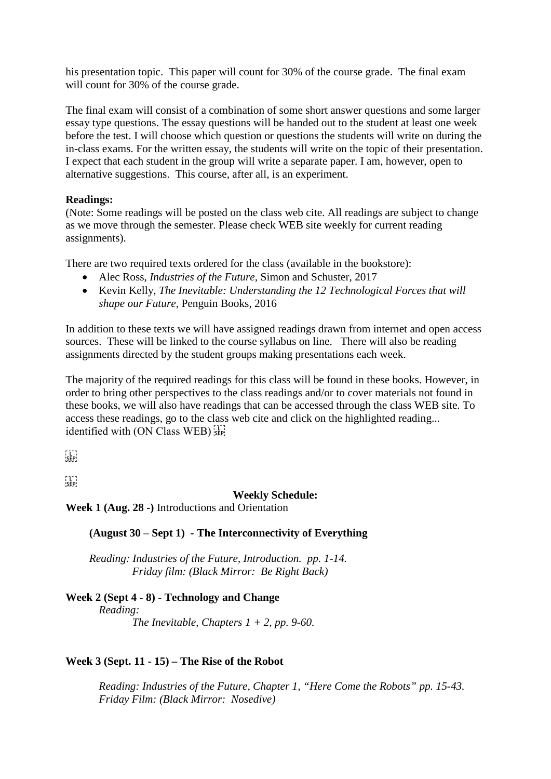his presentation topic. This paper will count for 30% of the course grade. The final exam will count for 30% of the course grade.

The final exam will consist of a combination of some short answer questions and some larger essay type questions. The essay questions will be handed out to the student at least one week before the test. I will choose which question or questions the students will write on during the in-class exams. For the written essay, the students will write on the topic of their presentation. I expect that each student in the group will write a separate paper. I am, however, open to alternative suggestions. This course, after all, is an experiment.

## **Readings:**

(Note: Some readings will be posted on the class web cite. All readings are subject to change as we move through the semester. Please check WEB site weekly for current reading assignments).

There are two required texts ordered for the class (available in the bookstore):

- Alec Ross, *Industries of the Future,* Simon and Schuster, 2017
- Kevin Kelly, *The Inevitable: Understanding the 12 Technological Forces that will shape our Future,* Penguin Books, 2016

In addition to these texts we will have assigned readings drawn from internet and open access sources. These will be linked to the course syllabus on line. There will also be reading assignments directed by the student groups making presentations each week.

The majority of the required readings for this class will be found in these books. However, in order to bring other perspectives to the class readings and/or to cover materials not found in these books, we will also have readings that can be accessed through the class WEB site. To access these readings, go to the class web cite and click on the highlighted reading... identified with (ON Class WEB) see

```
\prod_{\mathsf{SEP}}
```
 $\prod_{i\in \mathbf{F}(\mathbf{p})}$ 

## **Weekly Schedule:**

**Week 1 (Aug. 28 -)** Introductions and Orientation

# **(August 30** – **Sept 1) - The Interconnectivity of Everything**

*Reading: Industries of the Future, Introduction. pp. 1-14. Friday film: (Black Mirror: Be Right Back)*

#### **Week 2 (Sept 4 - 8) - Technology and Change** *Reading:*

*The Inevitable, Chapters 1 + 2, pp. 9-60.*

# **Week 3 (Sept. 11 - 15) – The Rise of the Robot**

*Reading: Industries of the Future, Chapter 1, "Here Come the Robots" pp. 15-43. Friday Film: (Black Mirror: Nosedive)*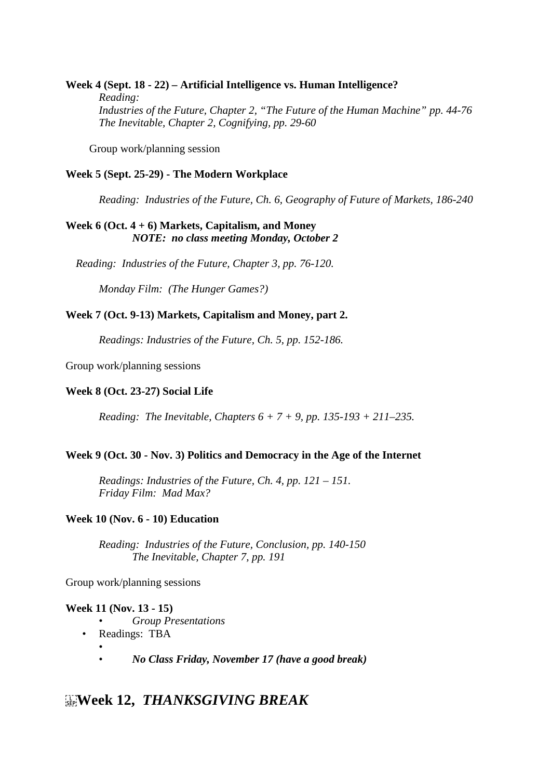## **Week 4 (Sept. 18 - 22) – Artificial Intelligence vs. Human Intelligence?** *Reading: Industries of the Future, Chapter 2, "The Future of the Human Machine" pp. 44-76 The Inevitable, Chapter 2, Cognifying, pp. 29-60*

Group work/planning session

## **Week 5 (Sept. 25-29) - The Modern Workplace**

*Reading: Industries of the Future, Ch. 6, Geography of Future of Markets, 186-240*

# **Week 6 (Oct. 4 + 6) Markets, Capitalism, and Money** *NOTE: no class meeting Monday, October 2*

*Reading: Industries of the Future, Chapter 3, pp. 76-120.*

*Monday Film: (The Hunger Games?)*

## **Week 7 (Oct. 9-13) Markets, Capitalism and Money, part 2.**

*Readings: Industries of the Future, Ch. 5, pp. 152-186.*

Group work/planning sessions

### **Week 8 (Oct. 23-27) Social Life**

*Reading: The Inevitable, Chapters 6 + 7 + 9, pp. 135-193 + 211–235.*

#### **Week 9 (Oct. 30 - Nov. 3) Politics and Democracy in the Age of the Internet**

*Readings: Industries of the Future, Ch. 4, pp. 121 – 151. Friday Film: Mad Max?* 

#### **Week 10 (Nov. 6 - 10) Education**

*Reading: Industries of the Future, Conclusion, pp. 140-150 The Inevitable, Chapter 7, pp. 191*

Group work/planning sessions

#### **Week 11 (Nov. 13 - 15)**

- *Group Presentations*
- Readings: TBA
	- • *No Class Friday, November 17 (have a good break)*

# **Week 12,** *THANKSGIVING BREAK*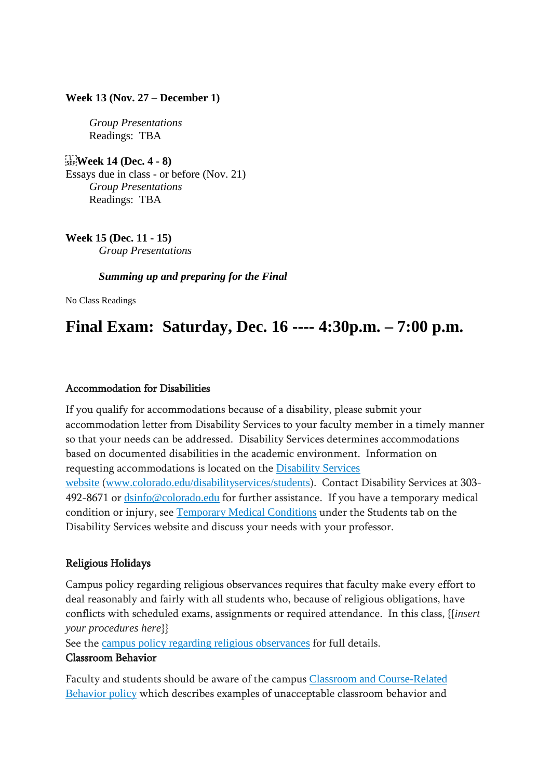## **Week 13 (Nov. 27 – December 1)**

*Group Presentations* Readings: TBA

 **Week 14 (Dec. 4 - 8)**  Essays due in class - or before (Nov. 21) *Group Presentations* Readings: TBA

**Week 15 (Dec. 11 - 15)** *Group Presentations* 

*Summing up and preparing for the Final*

No Class Readings

# **Final Exam: Saturday, Dec. 16 ---- 4:30p.m. – 7:00 p.m.**

# Accommodation for Disabilities

If you qualify for accommodations because of a disability, please submit your accommodation letter from Disability Services to your faculty member in a timely manner so that your needs can be addressed. Disability Services determines accommodations based on documented disabilities in the academic environment. Information on requesting accommodations is located on the [Disability](http://www.colorado.edu/disabilityservices/students) Services [website](http://www.colorado.edu/disabilityservices/students) ([www.colorado.edu/disabilityservices/students](http://www.colorado.edu/disabilityservices/students)). Contact Disability Services at 303- 492-8671 or [dsinfo@colorado.edu](mailto:dsinfo@colorado.edu) for further assistance. If you have a temporary medical condition or injury, see [Temporary](http://www.colorado.edu/disabilityservices/students/temporary-medical-conditions) Medical Conditions under the Students tab on the Disability Services website and discuss your needs with your professor.

# Religious Holidays

Campus policy regarding religious observances requires that faculty make every effort to deal reasonably and fairly with all students who, because of religious obligations, have conflicts with scheduled exams, assignments or required attendance. In this class, {{*insert your procedures here*}}

See the campus policy regarding religious [observances](http://www.colorado.edu/policies/observance-religious-holidays-and-absences-classes-andor-exams) for full details.

## Classroom Behavior

Faculty and students should be aware of the campus Classroom and [Course-Related](http://www.colorado.edu/policies/student-classroom-and-course-related-behavior) [Behavior](http://www.colorado.edu/policies/student-classroom-and-course-related-behavior) policy which describes examples of unacceptable classroom behavior and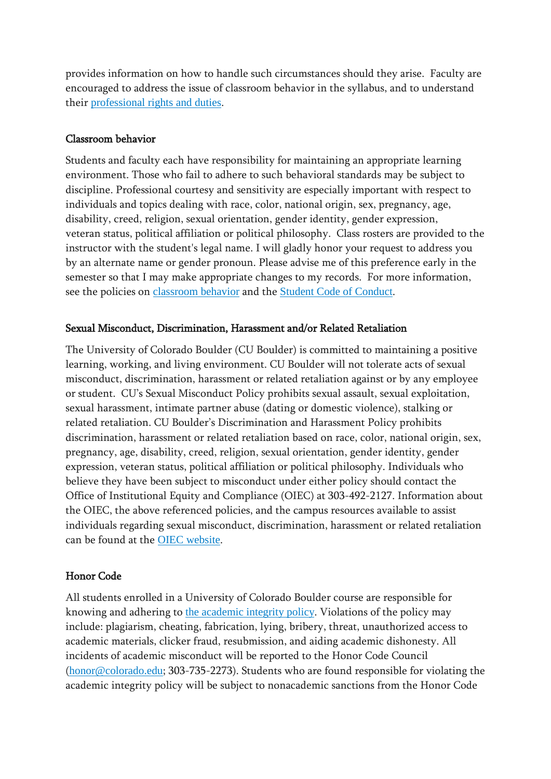provides information on how to handle such circumstances should they arise. Faculty are encouraged to address the issue of classroom behavior in the syllabus, and to understand their [professional](http://www.colorado.edu/bfa/sites/default/files/attached-files/PRDJanuary16_2013_0.pdf) rights and duties.

# Classroom behavior

Students and faculty each have responsibility for maintaining an appropriate learning environment. Those who fail to adhere to such behavioral standards may be subject to discipline. Professional courtesy and sensitivity are especially important with respect to individuals and topics dealing with race, color, national origin, sex, pregnancy, age, disability, creed, religion, sexual orientation, gender identity, gender expression, veteran status, political affiliation or political philosophy. Class rosters are provided to the instructor with the student's legal name. I will gladly honor your request to address you by an alternate name or gender pronoun. Please advise me of this preference early in the semester so that I may make appropriate changes to my records. For more information, see the policies on [classroom](http://www.colorado.edu/policies/student-classroom-and-course-related-behavior) behavior and the Student Code of [Conduct](http://www.colorado.edu/osccr/).

# Sexual Misconduct, Discrimination, Harassment and/or Related Retaliation

The University of Colorado Boulder (CU Boulder) is committed to maintaining a positive learning, working, and living environment. CU Boulder will not tolerate acts of sexual misconduct, discrimination, harassment or related retaliation against or by any employee or student. CU's Sexual Misconduct Policy prohibits sexual assault, sexual exploitation, sexual harassment, intimate partner abuse (dating or domestic violence), stalking or related retaliation. CU Boulder's Discrimination and Harassment Policy prohibits discrimination, harassment or related retaliation based on race, color, national origin, sex, pregnancy, age, disability, creed, religion, sexual orientation, gender identity, gender expression, veteran status, political affiliation or political philosophy. Individuals who believe they have been subject to misconduct under either policy should contact the Office of Institutional Equity and Compliance (OIEC) at 303-492-2127. Information about the OIEC, the above referenced policies, and the campus resources available to assist individuals regarding sexual misconduct, discrimination, harassment or related retaliation can be found at the OIEC [website](http://www.colorado.edu/institutionalequity/).

# Honor Code

All students enrolled in a University of Colorado Boulder course are responsible for knowing and adhering to the [academic](http://www.colorado.edu/policies/academic-integrity-policy) integrity policy. Violations of the policy may include: plagiarism, cheating, fabrication, lying, bribery, threat, unauthorized access to academic materials, clicker fraud, resubmission, and aiding academic dishonesty. All incidents of academic misconduct will be reported to the Honor Code Council ([honor@colorado.edu](mailto:honor@colorado.edu); 303-735-2273). Students who are found responsible for violating the academic integrity policy will be subject to nonacademic sanctions from the Honor Code